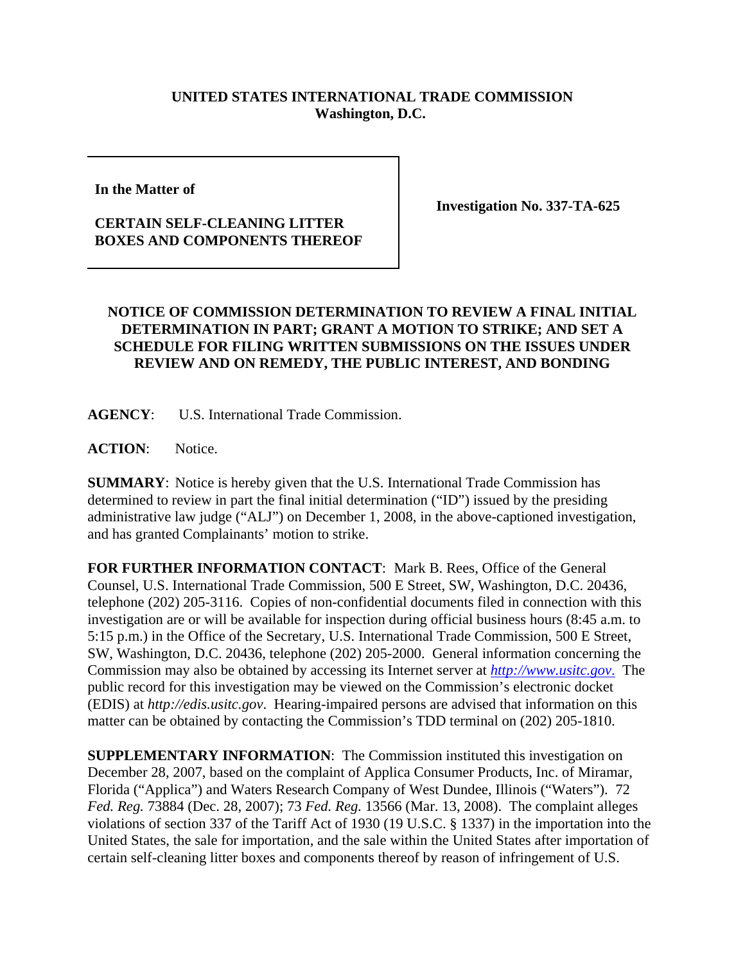## **UNITED STATES INTERNATIONAL TRADE COMMISSION Washington, D.C.**

**In the Matter of** 

## **CERTAIN SELF-CLEANING LITTER BOXES AND COMPONENTS THEREOF**

**Investigation No. 337-TA-625**

## **NOTICE OF COMMISSION DETERMINATION TO REVIEW A FINAL INITIAL DETERMINATION IN PART; GRANT A MOTION TO STRIKE; AND SET A SCHEDULE FOR FILING WRITTEN SUBMISSIONS ON THE ISSUES UNDER REVIEW AND ON REMEDY, THE PUBLIC INTEREST, AND BONDING**

**AGENCY**: U.S. International Trade Commission.

**ACTION**: Notice.

**SUMMARY**: Notice is hereby given that the U.S. International Trade Commission has determined to review in part the final initial determination ("ID") issued by the presiding administrative law judge ("ALJ") on December 1, 2008, in the above-captioned investigation, and has granted Complainants' motion to strike.

**FOR FURTHER INFORMATION CONTACT**: Mark B. Rees, Office of the General Counsel, U.S. International Trade Commission, 500 E Street, SW, Washington, D.C. 20436, telephone (202) 205-3116. Copies of non-confidential documents filed in connection with this investigation are or will be available for inspection during official business hours (8:45 a.m. to 5:15 p.m.) in the Office of the Secretary, U.S. International Trade Commission, 500 E Street, SW, Washington, D.C. 20436, telephone (202) 205-2000. General information concerning the Commission may also be obtained by accessing its Internet server at *http://www.usitc.gov*. The public record for this investigation may be viewed on the Commission's electronic docket (EDIS) at *http://edis.usitc.gov*. Hearing-impaired persons are advised that information on this matter can be obtained by contacting the Commission's TDD terminal on (202) 205-1810.

**SUPPLEMENTARY INFORMATION**: The Commission instituted this investigation on December 28, 2007, based on the complaint of Applica Consumer Products, Inc. of Miramar, Florida ("Applica") and Waters Research Company of West Dundee, Illinois ("Waters"). 72 *Fed. Reg.* 73884 (Dec. 28, 2007); 73 *Fed. Reg.* 13566 (Mar. 13, 2008). The complaint alleges violations of section 337 of the Tariff Act of 1930 (19 U.S.C. § 1337) in the importation into the United States, the sale for importation, and the sale within the United States after importation of certain self-cleaning litter boxes and components thereof by reason of infringement of U.S.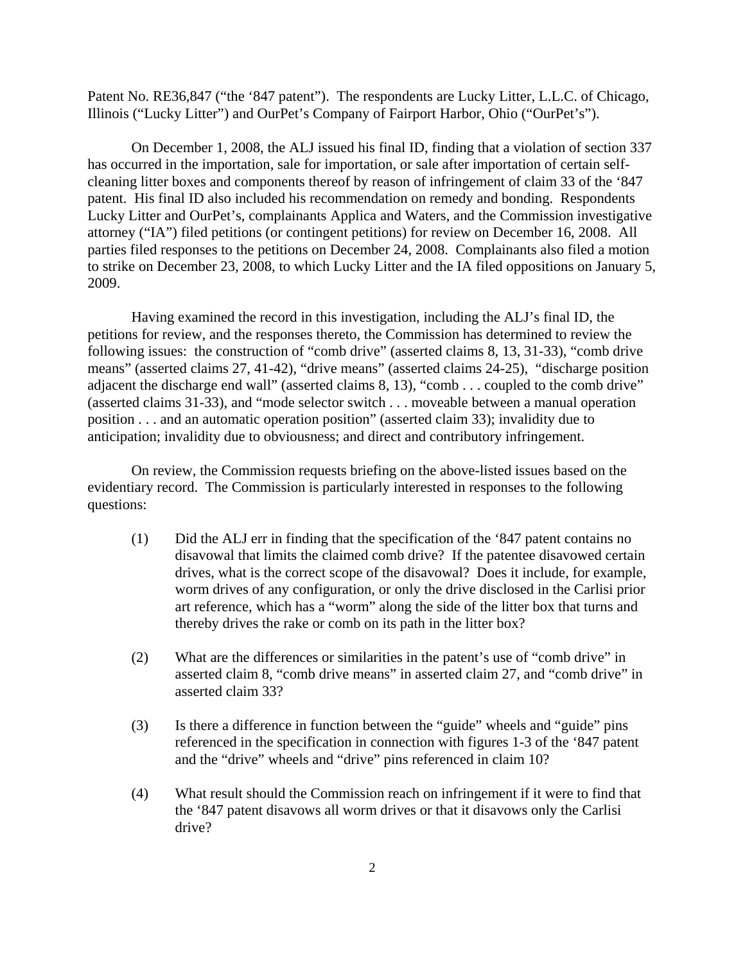Patent No. RE36,847 ("the '847 patent"). The respondents are Lucky Litter, L.L.C. of Chicago, Illinois ("Lucky Litter") and OurPet's Company of Fairport Harbor, Ohio ("OurPet's").

On December 1, 2008, the ALJ issued his final ID, finding that a violation of section 337 has occurred in the importation, sale for importation, or sale after importation of certain selfcleaning litter boxes and components thereof by reason of infringement of claim 33 of the '847 patent. His final ID also included his recommendation on remedy and bonding. Respondents Lucky Litter and OurPet's, complainants Applica and Waters, and the Commission investigative attorney ("IA") filed petitions (or contingent petitions) for review on December 16, 2008. All parties filed responses to the petitions on December 24, 2008. Complainants also filed a motion to strike on December 23, 2008, to which Lucky Litter and the IA filed oppositions on January 5, 2009.

Having examined the record in this investigation, including the ALJ's final ID, the petitions for review, and the responses thereto, the Commission has determined to review the following issues: the construction of "comb drive" (asserted claims 8, 13, 31-33), "comb drive means" (asserted claims 27, 41-42), "drive means" (asserted claims 24-25), "discharge position adjacent the discharge end wall" (asserted claims 8, 13), "comb . . . coupled to the comb drive" (asserted claims 31-33), and "mode selector switch . . . moveable between a manual operation position . . . and an automatic operation position" (asserted claim 33); invalidity due to anticipation; invalidity due to obviousness; and direct and contributory infringement.

On review, the Commission requests briefing on the above-listed issues based on the evidentiary record. The Commission is particularly interested in responses to the following questions:

- (1) Did the ALJ err in finding that the specification of the '847 patent contains no disavowal that limits the claimed comb drive? If the patentee disavowed certain drives, what is the correct scope of the disavowal? Does it include, for example, worm drives of any configuration, or only the drive disclosed in the Carlisi prior art reference, which has a "worm" along the side of the litter box that turns and thereby drives the rake or comb on its path in the litter box?
- (2) What are the differences or similarities in the patent's use of "comb drive" in asserted claim 8, "comb drive means" in asserted claim 27, and "comb drive" in asserted claim 33?
- (3) Is there a difference in function between the "guide" wheels and "guide" pins referenced in the specification in connection with figures 1-3 of the '847 patent and the "drive" wheels and "drive" pins referenced in claim 10?
- (4) What result should the Commission reach on infringement if it were to find that the '847 patent disavows all worm drives or that it disavows only the Carlisi drive?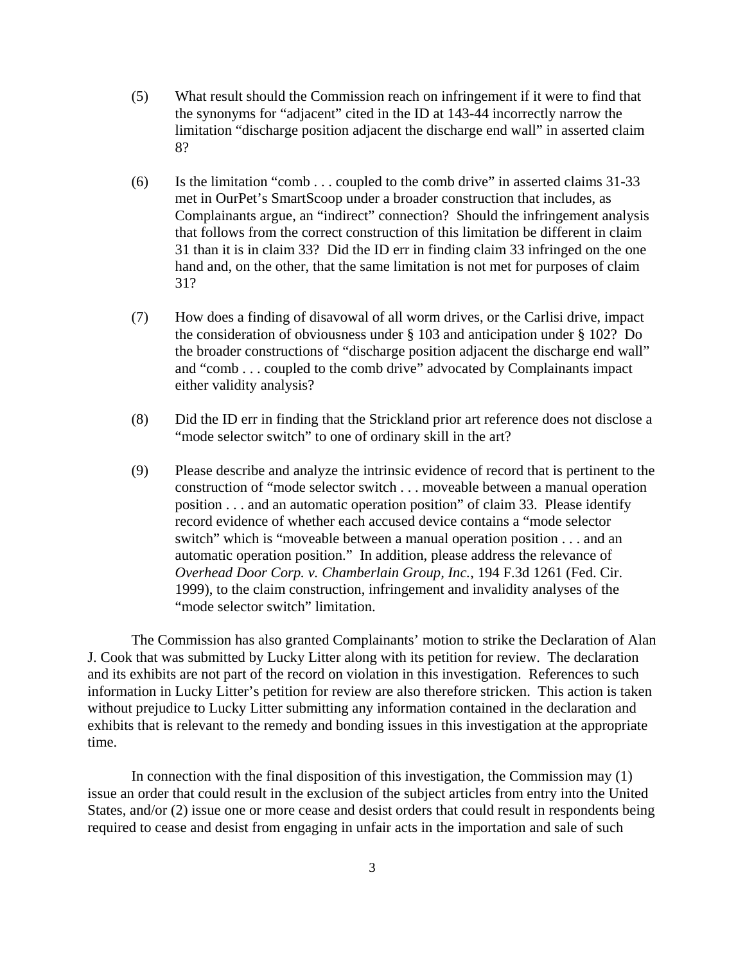- (5) What result should the Commission reach on infringement if it were to find that the synonyms for "adjacent" cited in the ID at 143-44 incorrectly narrow the limitation "discharge position adjacent the discharge end wall" in asserted claim 8?
- (6) Is the limitation "comb . . . coupled to the comb drive" in asserted claims 31-33 met in OurPet's SmartScoop under a broader construction that includes, as Complainants argue, an "indirect" connection? Should the infringement analysis that follows from the correct construction of this limitation be different in claim 31 than it is in claim 33? Did the ID err in finding claim 33 infringed on the one hand and, on the other, that the same limitation is not met for purposes of claim 31?
- (7) How does a finding of disavowal of all worm drives, or the Carlisi drive, impact the consideration of obviousness under § 103 and anticipation under § 102? Do the broader constructions of "discharge position adjacent the discharge end wall" and "comb . . . coupled to the comb drive" advocated by Complainants impact either validity analysis?
- (8) Did the ID err in finding that the Strickland prior art reference does not disclose a "mode selector switch" to one of ordinary skill in the art?
- (9) Please describe and analyze the intrinsic evidence of record that is pertinent to the construction of "mode selector switch . . . moveable between a manual operation position . . . and an automatic operation position" of claim 33. Please identify record evidence of whether each accused device contains a "mode selector switch" which is "moveable between a manual operation position . . . and an automatic operation position." In addition, please address the relevance of *Overhead Door Corp. v. Chamberlain Group, Inc.*, 194 F.3d 1261 (Fed. Cir. 1999), to the claim construction, infringement and invalidity analyses of the "mode selector switch" limitation.

The Commission has also granted Complainants' motion to strike the Declaration of Alan J. Cook that was submitted by Lucky Litter along with its petition for review. The declaration and its exhibits are not part of the record on violation in this investigation. References to such information in Lucky Litter's petition for review are also therefore stricken. This action is taken without prejudice to Lucky Litter submitting any information contained in the declaration and exhibits that is relevant to the remedy and bonding issues in this investigation at the appropriate time.

In connection with the final disposition of this investigation, the Commission may (1) issue an order that could result in the exclusion of the subject articles from entry into the United States, and/or (2) issue one or more cease and desist orders that could result in respondents being required to cease and desist from engaging in unfair acts in the importation and sale of such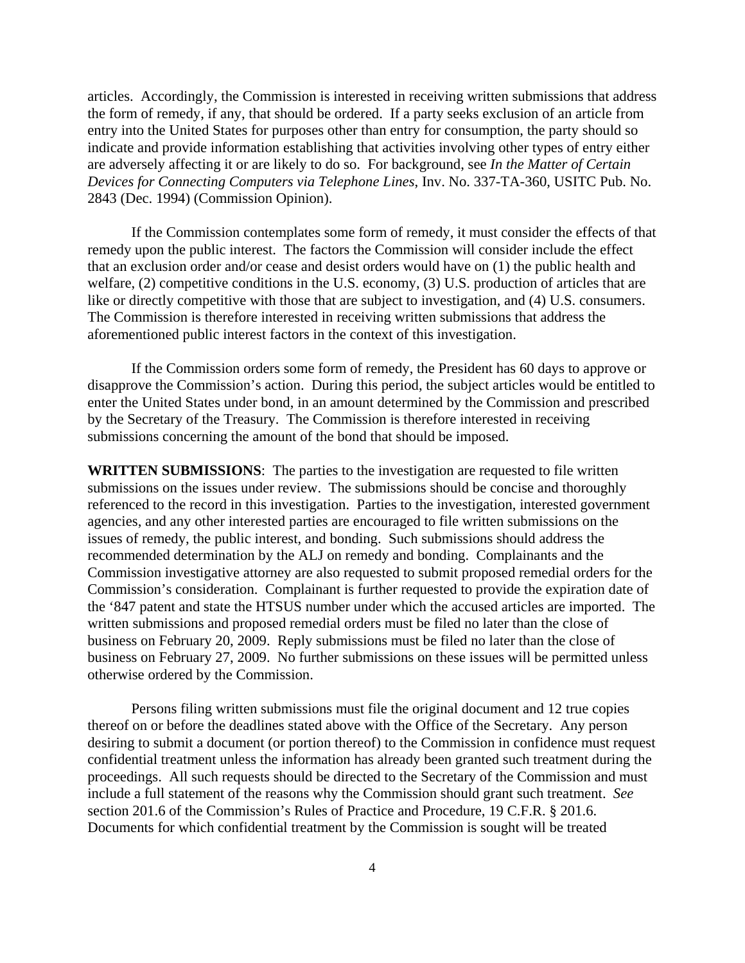articles. Accordingly, the Commission is interested in receiving written submissions that address the form of remedy, if any, that should be ordered. If a party seeks exclusion of an article from entry into the United States for purposes other than entry for consumption, the party should so indicate and provide information establishing that activities involving other types of entry either are adversely affecting it or are likely to do so. For background, see *In the Matter of Certain Devices for Connecting Computers via Telephone Lines*, Inv. No. 337-TA-360, USITC Pub. No. 2843 (Dec. 1994) (Commission Opinion).

If the Commission contemplates some form of remedy, it must consider the effects of that remedy upon the public interest. The factors the Commission will consider include the effect that an exclusion order and/or cease and desist orders would have on (1) the public health and welfare, (2) competitive conditions in the U.S. economy, (3) U.S. production of articles that are like or directly competitive with those that are subject to investigation, and (4) U.S. consumers. The Commission is therefore interested in receiving written submissions that address the aforementioned public interest factors in the context of this investigation.

If the Commission orders some form of remedy, the President has 60 days to approve or disapprove the Commission's action. During this period, the subject articles would be entitled to enter the United States under bond, in an amount determined by the Commission and prescribed by the Secretary of the Treasury. The Commission is therefore interested in receiving submissions concerning the amount of the bond that should be imposed.

**WRITTEN SUBMISSIONS**: The parties to the investigation are requested to file written submissions on the issues under review. The submissions should be concise and thoroughly referenced to the record in this investigation. Parties to the investigation, interested government agencies, and any other interested parties are encouraged to file written submissions on the issues of remedy, the public interest, and bonding. Such submissions should address the recommended determination by the ALJ on remedy and bonding. Complainants and the Commission investigative attorney are also requested to submit proposed remedial orders for the Commission's consideration. Complainant is further requested to provide the expiration date of the '847 patent and state the HTSUS number under which the accused articles are imported. The written submissions and proposed remedial orders must be filed no later than the close of business on February 20, 2009. Reply submissions must be filed no later than the close of business on February 27, 2009. No further submissions on these issues will be permitted unless otherwise ordered by the Commission.

Persons filing written submissions must file the original document and 12 true copies thereof on or before the deadlines stated above with the Office of the Secretary. Any person desiring to submit a document (or portion thereof) to the Commission in confidence must request confidential treatment unless the information has already been granted such treatment during the proceedings. All such requests should be directed to the Secretary of the Commission and must include a full statement of the reasons why the Commission should grant such treatment. *See* section 201.6 of the Commission's Rules of Practice and Procedure, 19 C.F.R. § 201.6. Documents for which confidential treatment by the Commission is sought will be treated